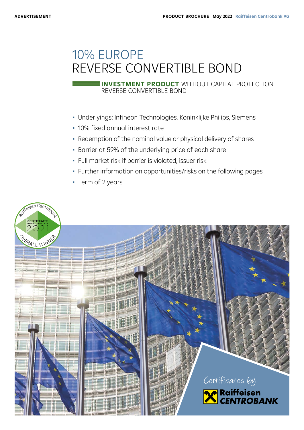# 10% EUROPE REVERSE CONVERTIBLE BOND

REVERSE CONVERTIBLE BOND **INVESTMENT PRODUCT** WITHOUT CAPITAL PROTECTION

- Underlyings: Infineon Technologies, Koninklijke Philips, Siemens
- 10% fixed annual interest rate
- Redemption of the nominal value or physical delivery of shares
- Barrier at 59% of the underlying price of each share
- Full market risk if barrier is violated, issuer risk
- Further information on opportunities/risks on the following pages
- Term of 2 years

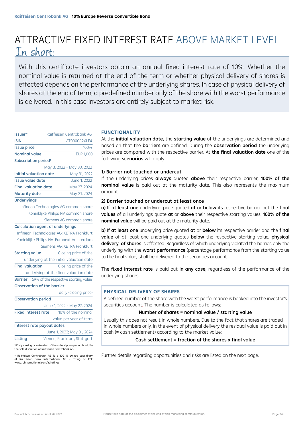## ATTRACTIVE FIXED INTEREST RATE ABOVE MARKET LEVEL In short:

With this certificate investors obtain an annual fixed interest rate of 10%. Whether the nominal value is returned at the end of the term or whether physical delivery of shares is effected depends on the performance of the underlying shares. In case of physical delivery of shares at the end of term, a predefined number only of the share with the worst performance is delivered. In this case investors are entirely subject to market risk.

| lssuer*                          | Raiffeisen Centrobank AG |
|----------------------------------|--------------------------|
| ISIN                             | AT0000A2XLF4             |
| <b>Issue price</b>               | 100%                     |
| Nominal value                    | <b>EUR 1,000</b>         |
| Subscription period <sup>1</sup> |                          |

|                             | May 3, 2022 - May 30, 2022 |
|-----------------------------|----------------------------|
| Initial valuation date      | May 31, 2022               |
| Issue value date            | June 1, 2022               |
| <b>Final valuation date</b> | May 27, 2024               |
| <b>Maturity date</b>        | May 31, 2024               |
|                             |                            |

#### **Underlyings**

Infineon Technologies AG common share Koninklijke Philips NV common share Siemens AG common share

#### Calculation agent of underlyings

| Infineon Technologies AG: XETRA Frankfurt  |                                                     |                              |  |  |
|--------------------------------------------|-----------------------------------------------------|------------------------------|--|--|
| Koninklijke Philips NV: Euronext Amsterdam |                                                     |                              |  |  |
| Siemens AG: XETRA Frankfurt                |                                                     |                              |  |  |
| <b>Starting value</b>                      |                                                     | Closing price of the         |  |  |
| underlying at the initial valuation date   |                                                     |                              |  |  |
| <b>Final valuation</b>                     |                                                     | Closing price of the         |  |  |
| underlying at the final valuation date     |                                                     |                              |  |  |
|                                            | <b>Barrier</b> 59% of the respective starting value |                              |  |  |
| Observation of the barrier                 |                                                     |                              |  |  |
|                                            |                                                     | daily (closing price)        |  |  |
| <b>Observation period</b>                  |                                                     |                              |  |  |
|                                            | June 1, 2022 - May 27, 2024                         |                              |  |  |
| <b>Fixed interest rate</b>                 |                                                     | 10% of the nominal           |  |  |
|                                            |                                                     | value per year of term       |  |  |
| Interest rate payout dates                 |                                                     |                              |  |  |
|                                            |                                                     | June 1, 2023; May 31, 2024   |  |  |
| Listing                                    |                                                     | Vienna, Frankfurt, Stuttgart |  |  |

1 Early closing or extension of the subscription period is within the sole discretion of Raiffeisen Centrobank AG.

\* Raiffeisen Centrobank AG is a 100 % owned subsidiary of Raiffeisen Bank International AG – rating of RBI: www.rbinternational.com/ir/ratings

#### **FUNCTIONALITY**

At the *initial valuation date,* the **starting value** of the underlyings are determined and based on that the **barriers** are defined. During the **observation period** the underlying prices are compared with the respective barrier. At the final valuation date one of the following scenarios will apply:

## 1) Barrier not touched or undercut

If the underlying prices always quoted above their respective barrier, 100% of the nominal value is paid out at the maturity date. This also represents the maximum amount.

## 2) Barrier touched or undercut at least once

a) If at least one underlying price quoted at or below its respective barrier but the final values of all underlyings quote at or above their respective starting values, 100% of the nominal value will be paid out at the maturity date.

b) If at least one underlying price quoted at or below its respective barrier and the final value of at least one underlying quotes below the respective starting value, physical delivery of shares is effected. Regardless of which underlying violated the barrier, only the underlying with the worst performance (percentage performance from the starting value to the final value) shall be delivered to the securities account.

The fixed interest rate is paid out in any case, regardless of the performance of the underlying shares.

## **PHYSICAL DELIVERY OF SHARES**

A defined number of the share with the worst performance is booked into the investor's securities account. The number is calculated as follows:

## Number of shares = nominal value / starting value

Usually this does not result in whole numbers. Due to the fact that shares are traded in whole numbers only, in the event of physical delivery the residual value is paid out in cash (= cash settlement) according to the market value:

## Cash settlement = fraction of the shares x final value

Further details regarding opportunities and risks are listed on the next page.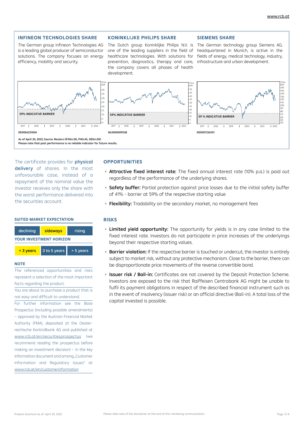#### **INFINEON TECHNOLOGIES SHARE**

The German group Infineon Technologies AG is a leading global producer of semiconductor solutions. The company focuses on energy efficiency, mobility and security.

#### **KONINKLIJKE PHILIPS SHARE**

The Dutch group Koninklijke Philips N.V. is one of the leading suppliers in the field of healthcare technologies. With solutions for prevention, diagnostics, therapy and care, the company covers all phases of health development.

#### **SIEMENS SHARE**

The German technology group Siemens AG, headquartered in Munich, is active in the fields of energy, medical technology, industry, infrastructure and urban development.



The certificate provides for **physical** delivery of shares. In the most unfavourable case, instead of a repayment of the nominal value the investor receives only the share with the worst performance delivered into the securities account.

#### **SUITED MARKET EXPECTATION**



#### **NOTE**

The referenced opportunities and risks represent a selection of the most important facts regarding the product.

You are about to purchase a product that is not easy and difficult to understand.

For further information see the Base Prospectus (including possible amendments) – approved by the Austrian Financial Market Authority (FMA), deposited at the Oesterreichische Kontrollbank AG and published at www.rcb.at/en/securitiesprospectus (we recommend reading the prospectus before making an investment decision) – in the key information document and among "Customer Information and Regulatory Issues" at www.rcb.at/en/customerinformation

## **OPPORTUNITIES**

- **Attractive fixed interest rate:** The fixed annual interest rate (10% p.a.) is paid out regardless of the performance of the underlying shares.
- Safety buffer: Partial protection against price losses due to the initial safety buffer of 41% - barrier at 59% of the respective starting value
- □ Flexibility: Tradability on the secondary market, no management fees

## **RISKS**

- **Limited yield opportunity:** The opportunity for yields is in any case limited to the fixed interest rate. Investors do not participate in price increases of the underlyings beyond their respective starting values.
- **Barrier violation:** If the respective barrier is touched or undercut, the investor is entirely subject to market risk, without any protective mechanism. Close to the barrier, there can be disproportionate price movements of the reverse convertible bond.
- **Bisuer risk / Bail-in:** Certificates are not covered by the Deposit Protection Scheme. Investors are exposed to the risk that Raiffeisen Centrobank AG might be unable to fulfil its payment obligations in respect of the described financial instrument such as in the event of insolvency (issuer risk) or an official directive (Bail-in). A total loss of the capital invested is possible.